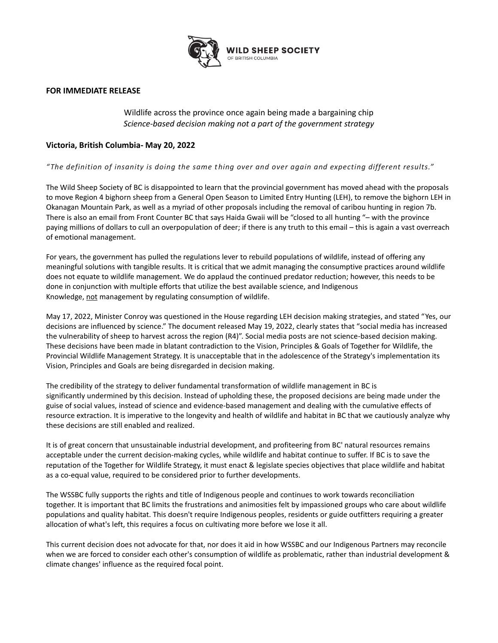

## **FOR IMMEDIATE RELEASE**

Wildlife across the province once again being made a bargaining chip *Science-based decision making not a part of the government strategy*

## **Victoria, British Columbia- May 20, 2022**

*"The definition of insanity is doing the same thing over and over again and expecting different results."*

The Wild Sheep Society of BC is disappointed to learn that the provincial government has moved ahead with the proposals to move Region 4 bighorn sheep from a General Open Season to Limited Entry Hunting (LEH), to remove the bighorn LEH in Okanagan Mountain Park, as well as a myriad of other proposals including the removal of caribou hunting in region 7b. There is also an email from Front Counter BC that says Haida Gwaii will be "closed to all hunting "– with the province paying millions of dollars to cull an overpopulation of deer; if there is any truth to this email – this is again a vast overreach of emotional management.

For years, the government has pulled the regulations lever to rebuild populations of wildlife, instead of offering any meaningful solutions with tangible results. It is critical that we admit managing the consumptive practices around wildlife does not equate to wildlife management. We do applaud the continued predator reduction; however, this needs to be done in conjunction with multiple efforts that utilize the best available science, and Indigenous Knowledge, not management by regulating consumption of wildlife.

May 17, 2022, Minister Conroy was questioned in the House regarding LEH decision making strategies, and stated "Yes, our decisions are influenced by science." The document released May 19, 2022, clearly states that "social media has increased the vulnerability of sheep to harvest across the region (R4)". Social media posts are not science-based decision making. These decisions have been made in blatant contradiction to the Vision, Principles & Goals of Together for Wildlife, the Provincial Wildlife Management Strategy. It is unacceptable that in the adolescence of the Strategy's implementation its Vision, Principles and Goals are being disregarded in decision making.

The credibility of the strategy to deliver fundamental transformation of wildlife management in BC is significantly undermined by this decision. Instead of upholding these, the proposed decisions are being made under the guise of social values, instead of science and evidence-based management and dealing with the cumulative effects of resource extraction. It is imperative to the longevity and health of wildlife and habitat in BC that we cautiously analyze why these decisions are still enabled and realized.

It is of great concern that unsustainable industrial development, and profiteering from BC' natural resources remains acceptable under the current decision-making cycles, while wildlife and habitat continue to suffer. If BC is to save the reputation of the Together for Wildlife Strategy, it must enact & legislate species objectives that place wildlife and habitat as a co-equal value, required to be considered prior to further developments.

The WSSBC fully supports the rights and title of Indigenous people and continues to work towards reconciliation together. It is important that BC limits the frustrations and animosities felt by impassioned groups who care about wildlife populations and quality habitat. This doesn't require Indigenous peoples, residents or guide outfitters requiring a greater allocation of what's left, this requires a focus on cultivating more before we lose it all.

This current decision does not advocate for that, nor does it aid in how WSSBC and our Indigenous Partners may reconcile when we are forced to consider each other's consumption of wildlife as problematic, rather than industrial development & climate changes' influence as the required focal point.